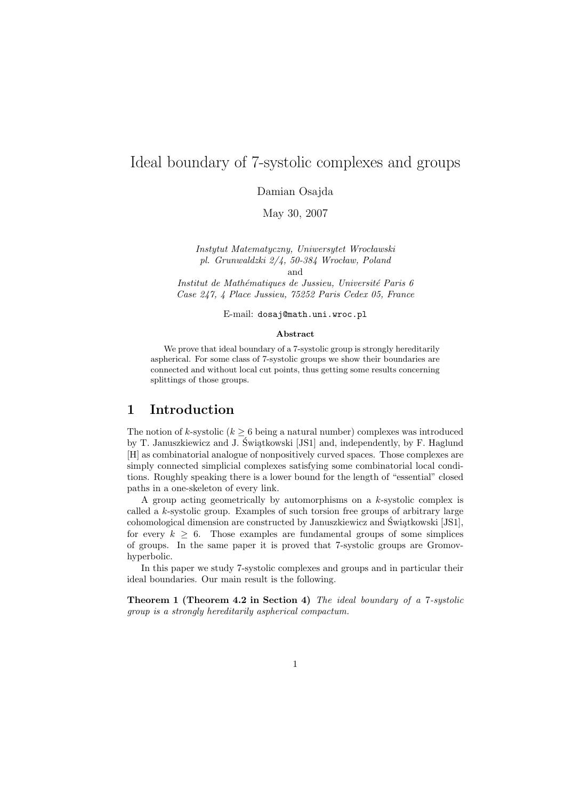# Ideal boundary of 7-systolic complexes and groups

Damian Osajda

May 30, 2007

Instytut Matematyczny, Uniwersytet Wrocławski pl. Grunwaldzki  $2/4$ , 50-384 Wrocław, Poland and

Institut de Mathématiques de Jussieu, Université Paris 6 Case 247, 4 Place Jussieu, 75252 Paris Cedex 05, France

E-mail: dosaj@math.uni.wroc.pl

#### Abstract

We prove that ideal boundary of a 7-systolic group is strongly hereditarily aspherical. For some class of 7-systolic groups we show their boundaries are connected and without local cut points, thus getting some results concerning splittings of those groups.

### 1 Introduction

The notion of k-systolic ( $k > 6$  being a natural number) complexes was introduced by T. Januszkiewicz and J. Świątkowski [JS1] and, independently, by F. Haglund [H] as combinatorial analogue of nonpositively curved spaces. Those complexes are simply connected simplicial complexes satisfying some combinatorial local conditions. Roughly speaking there is a lower bound for the length of "essential" closed paths in a one-skeleton of every link.

A group acting geometrically by automorphisms on a k-systolic complex is called a k-systolic group. Examples of such torsion free groups of arbitrary large cohomological dimension are constructed by Januszkiewicz and Świątkowski [JS1], for every  $k \geq 6$ . Those examples are fundamental groups of some simplices of groups. In the same paper it is proved that 7-systolic groups are Gromovhyperbolic.

In this paper we study 7-systolic complexes and groups and in particular their ideal boundaries. Our main result is the following.

Theorem 1 (Theorem 4.2 in Section 4) The ideal boundary of a 7-systolic group is a strongly hereditarily aspherical compactum.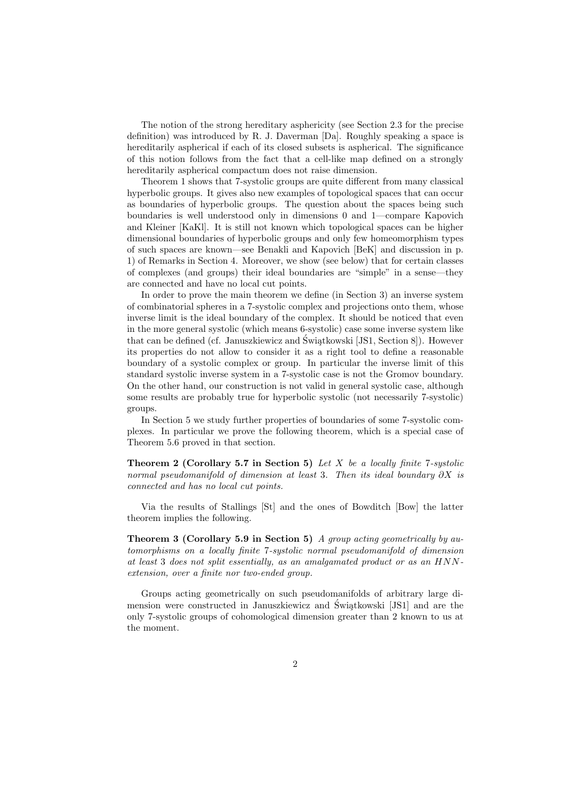The notion of the strong hereditary asphericity (see Section 2.3 for the precise definition) was introduced by R. J. Daverman [Da]. Roughly speaking a space is hereditarily aspherical if each of its closed subsets is aspherical. The significance of this notion follows from the fact that a cell-like map defined on a strongly hereditarily aspherical compactum does not raise dimension.

Theorem 1 shows that 7-systolic groups are quite different from many classical hyperbolic groups. It gives also new examples of topological spaces that can occur as boundaries of hyperbolic groups. The question about the spaces being such boundaries is well understood only in dimensions 0 and 1—compare Kapovich and Kleiner [KaKl]. It is still not known which topological spaces can be higher dimensional boundaries of hyperbolic groups and only few homeomorphism types of such spaces are known—see Benakli and Kapovich [BeK] and discussion in p. 1) of Remarks in Section 4. Moreover, we show (see below) that for certain classes of complexes (and groups) their ideal boundaries are "simple" in a sense—they are connected and have no local cut points.

In order to prove the main theorem we define (in Section 3) an inverse system of combinatorial spheres in a 7-systolic complex and projections onto them, whose inverse limit is the ideal boundary of the complex. It should be noticed that even in the more general systolic (which means 6-systolic) case some inverse system like that can be defined (cf. Januszkiewicz and Świątkowski [JS1, Section 8]). However its properties do not allow to consider it as a right tool to define a reasonable boundary of a systolic complex or group. In particular the inverse limit of this standard systolic inverse system in a 7-systolic case is not the Gromov boundary. On the other hand, our construction is not valid in general systolic case, although some results are probably true for hyperbolic systolic (not necessarily 7-systolic) groups.

In Section 5 we study further properties of boundaries of some 7-systolic complexes. In particular we prove the following theorem, which is a special case of Theorem 5.6 proved in that section.

**Theorem 2 (Corollary 5.7 in Section 5)** Let X be a locally finite 7-systolic normal pseudomanifold of dimension at least 3. Then its ideal boundary  $\partial X$  is connected and has no local cut points.

Via the results of Stallings [St] and the ones of Bowditch [Bow] the latter theorem implies the following.

**Theorem 3 (Corollary 5.9 in Section 5)** A group acting geometrically by automorphisms on a locally finite 7-systolic normal pseudomanifold of dimension at least 3 does not split essentially, as an amalgamated product or as an HNNextension, over a finite nor two-ended group.

Groups acting geometrically on such pseudomanifolds of arbitrary large dimension were constructed in Januszkiewicz and Świątkowski [JS1] and are the only 7-systolic groups of cohomological dimension greater than 2 known to us at the moment.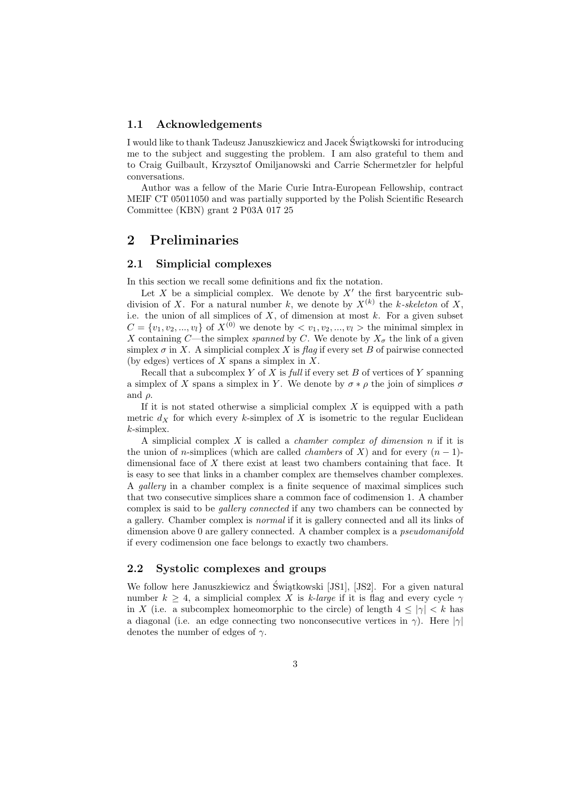#### 1.1 Acknowledgements

I would like to thank Tadeusz Januszkiewicz and Jacek Świątkowski for introducing me to the subject and suggesting the problem. I am also grateful to them and to Craig Guilbault, Krzysztof Omiljanowski and Carrie Schermetzler for helpful conversations.

Author was a fellow of the Marie Curie Intra-European Fellowship, contract MEIF CT 05011050 and was partially supported by the Polish Scientific Research Committee (KBN) grant 2 P03A 017 25

### 2 Preliminaries

### 2.1 Simplicial complexes

In this section we recall some definitions and fix the notation.

Let X be a simplicial complex. We denote by  $X'$  the first barycentric subdivision of X. For a natural number k, we denote by  $X^{(k)}$  the k-skeleton of X, i.e. the union of all simplices of  $X$ , of dimension at most  $k$ . For a given subset  $C = \{v_1, v_2, ..., v_l\}$  of  $X^{(0)}$  we denote by  $\langle v_1, v_2, ..., v_l \rangle$  the minimal simplex in X containing C—the simplex *spanned* by C. We denote by  $X_{\sigma}$  the link of a given simplex  $\sigma$  in X. A simplicial complex X is flag if every set B of pairwise connected (by edges) vertices of  $X$  spans a simplex in  $X$ .

Recall that a subcomplex Y of X is full if every set B of vertices of Y spanning a simplex of X spans a simplex in Y. We denote by  $\sigma * \rho$  the join of simplices  $\sigma$ and  $\rho$ .

If it is not stated otherwise a simplicial complex  $X$  is equipped with a path metric  $d_X$  for which every k-simplex of X is isometric to the regular Euclidean k-simplex.

A simplicial complex  $X$  is called a *chamber complex of dimension*  $n$  if it is the union of n-simplices (which are called *chambers* of X) and for every  $(n - 1)$ dimensional face of X there exist at least two chambers containing that face. It is easy to see that links in a chamber complex are themselves chamber complexes. A gallery in a chamber complex is a finite sequence of maximal simplices such that two consecutive simplices share a common face of codimension 1. A chamber complex is said to be gallery connected if any two chambers can be connected by a gallery. Chamber complex is normal if it is gallery connected and all its links of dimension above 0 are gallery connected. A chamber complex is a *pseudomanifold* if every codimension one face belongs to exactly two chambers.

#### 2.2 Systolic complexes and groups

We follow here Januszkiewicz and Świątkowski [JS1], [JS2]. For a given natural number  $k \geq 4$ , a simplicial complex X is k-large if it is flag and every cycle  $\gamma$ in X (i.e. a subcomplex homeomorphic to the circle) of length  $4 \le |\gamma| \le k$  has a diagonal (i.e. an edge connecting two nonconsecutive vertices in  $\gamma$ ). Here  $|\gamma|$ denotes the number of edges of  $\gamma$ .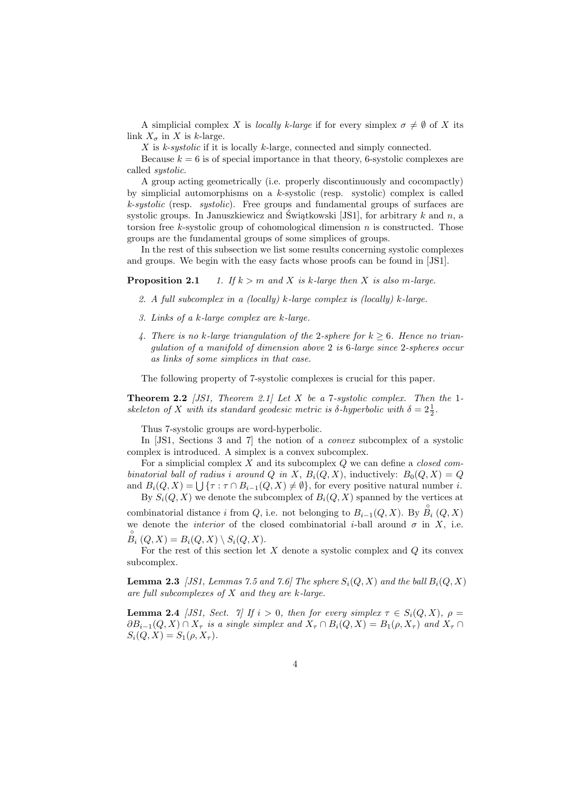A simplicial complex X is locally k-large if for every simplex  $\sigma \neq \emptyset$  of X its link  $X_{\sigma}$  in X is k-large.

X is k-systolic if it is locally k-large, connected and simply connected.

Because  $k = 6$  is of special importance in that theory, 6-systolic complexes are called systolic.

A group acting geometrically (i.e. properly discontinuously and cocompactly) by simplicial automorphisms on a  $k$ -systolic (resp. systolic) complex is called  $k$ -systolic (resp. systolic). Free groups and fundamental groups of surfaces are systolic groups. In Januszkiewicz and Świątkowski [JS1], for arbitrary  $k$  and  $n$ , a torsion free k-systolic group of cohomological dimension  $n$  is constructed. Those groups are the fundamental groups of some simplices of groups.

In the rest of this subsection we list some results concerning systolic complexes and groups. We begin with the easy facts whose proofs can be found in [JS1].

**Proposition 2.1** 1. If  $k > m$  and X is k-large then X is also m-large.

- 2. A full subcomplex in a (locally) k-large complex is (locally) k-large.
- 3. Links of a k-large complex are k-large.
- 4. There is no k-large triangulation of the 2-sphere for  $k \geq 6$ . Hence no triangulation of a manifold of dimension above 2 is 6-large since 2-spheres occur as links of some simplices in that case.

The following property of 7-systolic complexes is crucial for this paper.

**Theorem 2.2** [JS1, Theorem 2.1] Let X be a 7-systolic complex. Then the 1skeleton of X with its standard geodesic metric is  $\delta$ -hyperbolic with  $\delta = 2\frac{1}{2}$ .

Thus 7-systolic groups are word-hyperbolic.

In [JS1, Sections 3 and 7] the notion of a *convex* subcomplex of a systolic complex is introduced. A simplex is a convex subcomplex.

For a simplicial complex X and its subcomplex  $\hat{Q}$  we can define a *closed com*binatorial ball of radius i around Q in X,  $B_i(Q, X)$ , inductively:  $B_0(Q, X) = Q$ binatorial batt by radius t around  $Q$  in  $\Lambda$ ,  $B_i(Q, \Lambda)$ , inductively:  $B_0(Q, \Lambda) = Q$ <br>and  $B_i(Q, X) = \bigcup \{\tau : \tau \cap B_{i-1}(Q, X) \neq \emptyset\}$ , for every positive natural number i. By  $S_i(Q, X)$  we denote the subcomplex of  $B_i(Q, X)$  spanned by the vertices at

combinatorial distance i from Q, i.e. not belonging to  $B_{i-1}(Q, X)$ . By  $\overset{\circ}{B}_{i}(Q, X)$ we denote the *interior* of the closed combinatorial *i*-ball around  $\sigma$  in X, i.e.  $\stackrel{\circ}{B}_i(Q, X) = B_i(Q, X) \setminus S_i(Q, X).$ 

For the rest of this section let  $X$  denote a systolic complex and  $Q$  its convex subcomplex.

**Lemma 2.3** [JS1, Lemmas 7.5 and 7.6] The sphere  $S_i(Q, X)$  and the ball  $B_i(Q, X)$ are full subcomplexes of  $X$  and they are k-large.

**Lemma 2.4** [JS1, Sect. 7] If  $i > 0$ , then for every simplex  $\tau \in S_i(Q, X)$ ,  $\rho =$  $\partial B_{i-1}(Q, X) \cap X_{\tau}$  is a single simplex and  $X_{\tau} \cap B_i(Q, X) = B_1(\rho, X_{\tau})$  and  $X_{\tau} \cap$  $S_i(Q, X) = S_1(\rho, X_\tau).$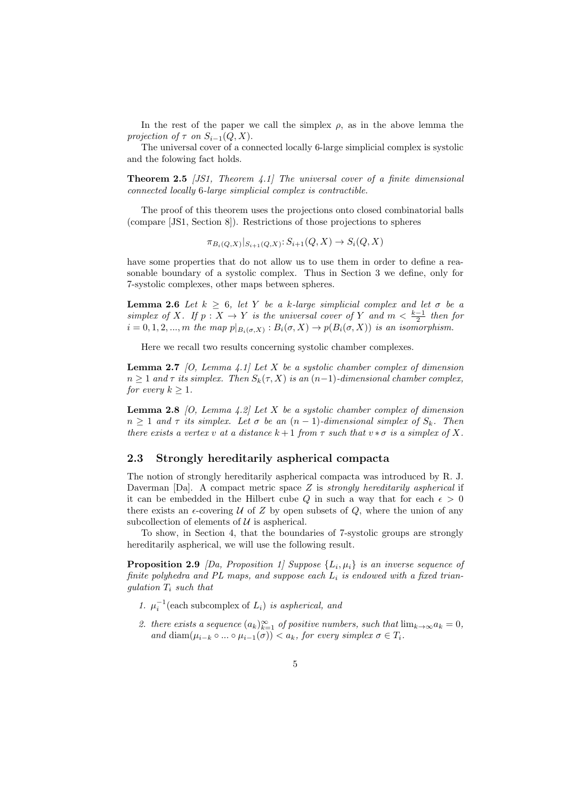In the rest of the paper we call the simplex  $\rho$ , as in the above lemma the projection of  $\tau$  on  $S_{i-1}(Q, X)$ .

The universal cover of a connected locally 6-large simplicial complex is systolic and the folowing fact holds.

**Theorem 2.5** [JS1, Theorem 4.1] The universal cover of a finite dimensional connected locally 6-large simplicial complex is contractible.

The proof of this theorem uses the projections onto closed combinatorial balls (compare [JS1, Section 8]). Restrictions of those projections to spheres

$$
\pi_{B_i(Q,X)}|_{S_{i+1}(Q,X)}: S_{i+1}(Q,X) \to S_i(Q,X)
$$

have some properties that do not allow us to use them in order to define a reasonable boundary of a systolic complex. Thus in Section 3 we define, only for 7-systolic complexes, other maps between spheres.

**Lemma 2.6** Let  $k \geq 6$ , let Y be a k-large simplicial complex and let  $\sigma$  be a simplex of X. If  $p: X \to Y$  is the universal cover of Y and  $m < \frac{k-1}{2}$  then for  $i = 0, 1, 2, ..., m$  the map  $p|_{B_i(\sigma, X)} : B_i(\sigma, X) \to p(B_i(\sigma, X))$  is an isomorphism.

Here we recall two results concerning systolic chamber complexes.

**Lemma 2.7** [O, Lemma 4.1] Let X be a systolic chamber complex of dimension  $n \geq 1$  and  $\tau$  its simplex. Then  $S_k(\tau, X)$  is an  $(n-1)$ -dimensional chamber complex, for every  $k \geq 1$ .

**Lemma 2.8** [O, Lemma 4.2] Let X be a systolic chamber complex of dimension  $n \geq 1$  and  $\tau$  its simplex. Let  $\sigma$  be an  $(n-1)$ -dimensional simplex of  $S_k$ . Then there exists a vertex v at a distance  $k+1$  from  $\tau$  such that  $v * \sigma$  is a simplex of X.

#### 2.3 Strongly hereditarily aspherical compacta

The notion of strongly hereditarily aspherical compacta was introduced by R. J. Daverman [Da]. A compact metric space  $Z$  is *strongly hereditarily aspherical* if it can be embedded in the Hilbert cube Q in such a way that for each  $\epsilon > 0$ there exists an  $\epsilon$ -covering U of Z by open subsets of Q, where the union of any subcollection of elements of  $U$  is aspherical.

To show, in Section 4, that the boundaries of 7-systolic groups are strongly hereditarily aspherical, we will use the following result.

**Proposition 2.9** [Da, Proposition 1] Suppose  $\{L_i, \mu_i\}$  is an inverse sequence of finite polyhedra and PL maps, and suppose each  $L_i$  is endowed with a fixed trianqulation  $T_i$  such that

- 1.  $\mu_i^{-1}$ (each subcomplex of  $L_i$ ) is aspherical, and
- 2. there exists a sequence  $(a_k)_{k=1}^{\infty}$  of positive numbers, such that  $\lim_{k\to\infty}a_k=0$ , and diam $(\mu_{i-k} \circ ... \circ \mu_{i-1}(\sigma)) < a_k$ , for every simplex  $\sigma \in T_i$ .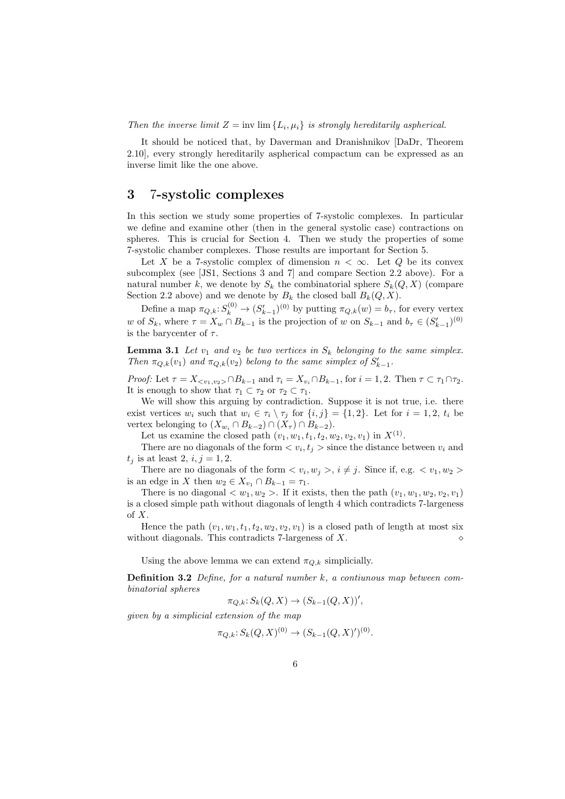Then the inverse limit  $Z = \text{inv}\lim \{L_i, \mu_i\}$  is strongly hereditarily aspherical.

It should be noticed that, by Daverman and Dranishnikov [DaDr, Theorem 2.10], every strongly hereditarily aspherical compactum can be expressed as an inverse limit like the one above.

## 3 7-systolic complexes

In this section we study some properties of 7-systolic complexes. In particular we define and examine other (then in the general systolic case) contractions on spheres. This is crucial for Section 4. Then we study the properties of some 7-systolic chamber complexes. Those results are important for Section 5.

Let X be a 7-systolic complex of dimension  $n < \infty$ . Let Q be its convex subcomplex (see [JS1, Sections 3 and 7] and compare Section 2.2 above). For a natural number k, we denote by  $S_k$  the combinatorial sphere  $S_k(Q, X)$  (compare Section 2.2 above) and we denote by  $B_k$  the closed ball  $B_k(Q, X)$ .

Define a map  $\pi_{Q,k}: S_k^{(0)} \to (S_{k-1}')^{(0)}$  by putting  $\pi_{Q,k}(w) = b_{\tau}$ , for every vertex w of  $S_k$ , where  $\tau = X_w \cap B_{k-1}$  is the projection of w on  $S_{k-1}$  and  $b_\tau \in (S'_{k-1})^{(0)}$ is the barycenter of  $\tau$ .

**Lemma 3.1** Let  $v_1$  and  $v_2$  be two vertices in  $S_k$  belonging to the same simplex. Then  $\pi_{Q,k}(v_1)$  and  $\pi_{Q,k}(v_2)$  belong to the same simplex of  $S'_{k-1}$ .

Proof: Let  $\tau = X_{\langle v_1, v_2 \rangle} \cap B_{k-1}$  and  $\tau_i = X_{v_i} \cap B_{k-1}$ , for  $i = 1, 2$ . Then  $\tau \subset \tau_1 \cap \tau_2$ . It is enough to show that  $\tau_1 \subset \tau_2$  or  $\tau_2 \subset \tau_1$ .

We will show this arguing by contradiction. Suppose it is not true, i.e. there exist vertices  $w_i$  such that  $w_i \in \tau_i \setminus \tau_j$  for  $\{i, j\} = \{1, 2\}$ . Let for  $i = 1, 2, t_i$  be vertex belonging to  $(X_{w_i} \cap B_{k-2}) \cap (X_{\tau}) \cap B_{k-2}$ .

Let us examine the closed path  $(v_1, w_1, t_1, t_2, w_2, v_2, v_1)$  in  $X^{(1)}$ .

There are no diagonals of the form  $\langle v_i, t_j \rangle$  since the distance between  $v_i$  and  $t_j$  is at least 2,  $i, j = 1, 2$ .

There are no diagonals of the form  $\langle v_i, w_j \rangle$ ,  $i \neq j$ . Since if, e.g.  $\langle v_1, w_2 \rangle$ is an edge in X then  $w_2 \in X_{v_1} \cap B_{k-1} = \tau_1$ .

There is no diagonal  $\langle w_1, w_2 \rangle$ . If it exists, then the path  $(v_1, w_1, w_2, v_2, v_1)$ is a closed simple path without diagonals of length 4 which contradicts 7-largeness of X.

Hence the path  $(v_1, w_1, t_1, t_2, w_2, v_2, v_1)$  is a closed path of length at most six without diagonals. This contradicts 7-largeness of  $X$ .

Using the above lemma we can extend  $\pi_{Q,k}$  simplicially.

**Definition 3.2** Define, for a natural number  $k$ , a contiunous map between combinatorial spheres

$$
\pi_{Q,k} \colon S_k(Q,X) \to (S_{k-1}(Q,X))'
$$

given by a simplicial extension of the map

$$
\pi_{Q,k}: S_k(Q, X)^{(0)} \to (S_{k-1}(Q, X)')^{(0)}.
$$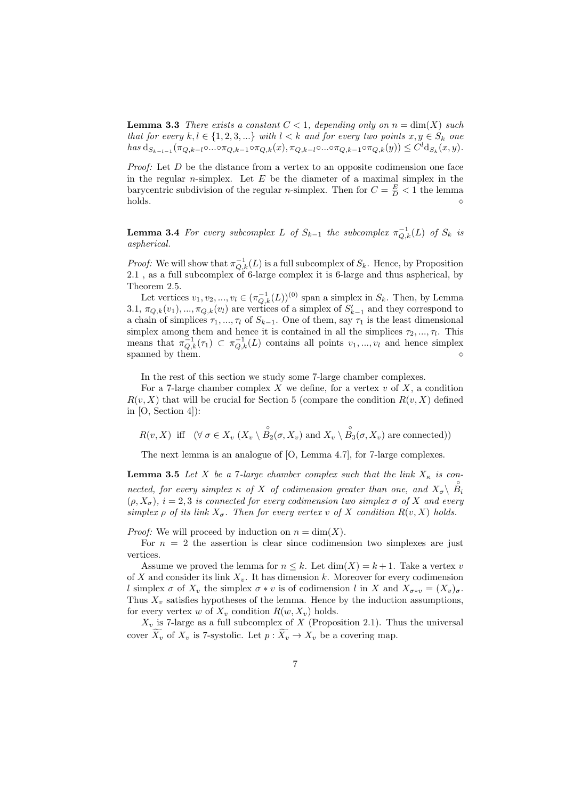**Lemma 3.3** There exists a constant  $C < 1$ , depending only on  $n = \dim(X)$  such that for every  $k, l \in \{1, 2, 3, ...\}$  with  $l < k$  and for every two points  $x, y \in S_k$  one  $has \ d_{S_{k-l-1}}(\pi_{Q,k-l} \circ ... \circ \pi_{Q,k-1} \circ \pi_{Q,k}(x), \pi_{Q,k-l} \circ ... \circ \pi_{Q,k-1} \circ \pi_{Q,k}(y)) \leq C^l d_{S_k}(x,y).$ 

*Proof:* Let  $D$  be the distance from a vertex to an opposite codimension one face in the regular *n*-simplex. Let  $E$  be the diameter of a maximal simplex in the barycentric subdivision of the regular *n*-simplex. Then for  $C = \frac{E}{D} < 1$  the lemma  $h$ olds.  $\Diamond$ 

**Lemma 3.4** For every subcomplex L of  $S_{k-1}$  the subcomplex  $\pi_{Q,k}^{-1}(L)$  of  $S_k$  is aspherical.

*Proof:* We will show that  $\pi_{Q,k}^{-1}(L)$  is a full subcomplex of  $S_k$ . Hence, by Proposition 2.1 , as a full subcomplex of 6-large complex it is 6-large and thus aspherical, by Theorem 2.5.

Let vertices  $v_1, v_2, ..., v_l \in (\pi_{Q,k}^{-1}(L))^{(0)}$  span a simplex in  $S_k$ . Then, by Lemma 3.1,  $\pi_{Q,k}(v_1), \ldots, \pi_{Q,k}(v_l)$  are vertices of a simplex of  $S'_{k-1}$  and they correspond to a chain of simplices  $\tau_1, ..., \tau_l$  of  $S_{k-1}$ . One of them, say  $\tau_1$  is the least dimensional simplex among them and hence it is contained in all the simplices  $\tau_2, \ldots, \tau_l$ . This means that  $\pi_{Q,k}^{-1}(\tau_1) \subset \pi_{Q,k}^{-1}(L)$  contains all points  $v_1, ..., v_l$  and hence simplex spanned by them.  $\Diamond$ 

In the rest of this section we study some 7-large chamber complexes.

For a 7-large chamber complex  $X$  we define, for a vertex  $v$  of  $X$ , a condition  $R(v, X)$  that will be crucial for Section 5 (compare the condition  $R(v, X)$  defined in [O, Section 4]):

 $R(v, X)$  iff  $(\forall \sigma \in X_v \ (X_v \setminus \overset{\circ}{B_2}(\sigma, X_v) \text{ and } X_v \setminus \overset{\circ}{B_3}(\sigma, X_v) \text{ are connected}) )$ 

The next lemma is an analogue of [O, Lemma 4.7], for 7-large complexes.

**Lemma 3.5** Let X be a 7-large chamber complex such that the link  $X_{\kappa}$  is connected, for every simplex  $\kappa$  of X of codimension greater than one, and  $X_{\sigma} \setminus \overset{\circ}{B}_i$  $(\rho, X_{\sigma})$ ,  $i = 2, 3$  is connected for every codimension two simplex  $\sigma$  of X and every simplex  $\rho$  of its link  $X_{\sigma}$ . Then for every vertex v of X condition  $R(v, X)$  holds.

*Proof:* We will proceed by induction on  $n = \dim(X)$ .

For  $n = 2$  the assertion is clear since codimension two simplexes are just vertices.

Assume we proved the lemma for  $n \leq k$ . Let  $\dim(X) = k + 1$ . Take a vertex v of X and consider its link  $X_v$ . It has dimension k. Moreover for every codimension l simplex  $\sigma$  of  $X_v$  the simplex  $\sigma * v$  is of codimension l in X and  $X_{\sigma * v} = (X_v)_{\sigma}$ . Thus  $X_v$  satisfies hypotheses of the lemma. Hence by the induction assumptions, for every vertex w of  $X_v$  condition  $R(w, X_v)$  holds.

 $X_v$  is 7-large as a full subcomplex of X (Proposition 2.1). Thus the universal cover  $X_v$  of  $X_v$  is 7-systolic. Let  $p : X_v \to X_v$  be a covering map.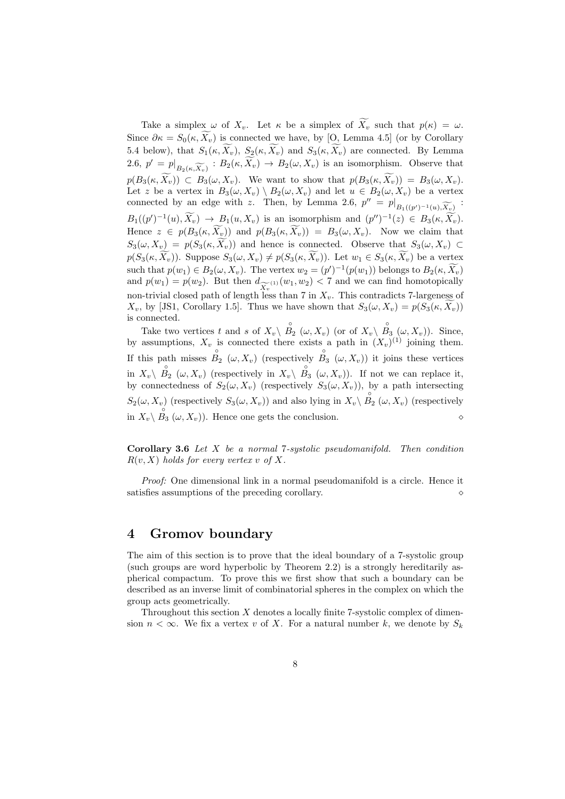Take a simplex  $\omega$  of  $X_v$ . Let  $\kappa$  be a simplex of  $\widetilde{X_v}$  such that  $p(\kappa) = \omega$ . Since  $\partial \kappa = S_0(\kappa, \tilde{X}_v)$  is connected we have, by [O, Lemma 4.5] (or by Corollary 5.4 below), that  $S_1(\kappa, \widetilde{X_v})$ ,  $S_2(\kappa, \widetilde{X_v})$  and  $S_3(\kappa, \widetilde{X_v})$  are connected. By Lemma 2.6,  $p' = p|_{B_2(\kappa, \widetilde{X_v})}: B_2(\kappa, \widetilde{X_v}) \to B_2(\omega, X_v)$  is an isomorphism. Observe that  $p(B_3(\kappa, \widetilde{X_v})) \subset B_3(\omega, X_v)$ . We want to show that  $p(B_3(\kappa, \widetilde{X_v})) = B_3(\omega, X_v)$ . Let z be a vertex in  $B_3(\omega, X_v) \setminus B_2(\omega, X_v)$  and let  $u \in B_2(\omega, X_v)$  be a vertex connected by an edge with z. Then, by Lemma 2.6,  $p'' = p|_{B_1((p')^{-1}(u), \widetilde{X_v})}$ :  $B_1((p')^{-1}(u), \widetilde{X_v}) \to B_1(u, X_v)$  is an isomorphism and  $(p'')^{-1}(z) \in B_3(\kappa, \widetilde{X_v})$ . Hence  $z \in p(B_3(\kappa, \widetilde{X_v}))$  and  $p(B_3(\kappa, \widetilde{X_v})) = B_3(\omega, X_v)$ . Now we claim that  $S_3(\omega, X_v) = p(S_3(\kappa, \widetilde{X_v}))$  and hence is connected. Observe that  $S_3(\omega, X_v) \subset$  $p(S_3(\kappa, \widetilde{X_v}))$ . Suppose  $S_3(\omega, X_v) \neq p(S_3(\kappa, \widetilde{X_v}))$ . Let  $w_1 \in S_3(\kappa, \widetilde{X_v})$  be a vertex such that  $p(w_1) \in B_2(\omega, X_v)$ . The vertex  $w_2 = (p')^{-1}(p(w_1))$  belongs to  $B_2(\kappa, \widetilde{X_v})$ and  $p(w_1) = p(w_2)$ . But then  $d_{\widetilde{X}_v^{(1)}}(w_1, w_2) < 7$  and we can find homotopically non-trivial closed path of length less than 7 in  $X_v$ . This contradicts 7-largeness of  $X_v$ , by [JS1, Corollary 1.5]. Thus we have shown that  $S_3(\omega, X_v) = p(S_3(\kappa, \widetilde{X}_v))$ is connected.

Take two vertices t and s of  $X_v \setminus \overset{\circ}{B_2}(\omega, X_v)$  (or of  $X_v \setminus \overset{\circ}{B_3}(\omega, X_v)$ ). Since, by assumptions,  $X_v$  is connected there exists a path in  $(X_v)^{(1)}$  joining them. If this path misses  $B_2(\omega, X_v)$  (respectively  $B_3(\omega, X_v)$ ) it joins these vertices in  $X_v\setminus \stackrel{\circ}{B_2}(\omega,X_v)$  (respectively in  $X_v\setminus \stackrel{\circ}{B_3}(\omega,X_v)$ ). If not we can replace it, by connectedness of  $S_2(\omega, X_v)$  (respectively  $S_3(\omega, X_v)$ ), by a path intersecting  $S_2(\omega, X_v)$  (respectively  $S_3(\omega, X_v)$ ) and also lying in  $X_v \setminus B_2(\omega, X_v)$  (respectively in  $X_v \backslash B_3 \ (\omega, X_v)$ . Hence one gets the conclusion.  $\diamond$ 

Corollary 3.6 Let X be a normal 7-systolic pseudomanifold. Then condition  $R(v, X)$  holds for every vertex v of X.

Proof: One dimensional link in a normal pseudomanifold is a circle. Hence it satisfies assumptions of the preceding corollary.  $\Diamond$ 

### 4 Gromov boundary

The aim of this section is to prove that the ideal boundary of a 7-systolic group (such groups are word hyperbolic by Theorem 2.2) is a strongly hereditarily aspherical compactum. To prove this we first show that such a boundary can be described as an inverse limit of combinatorial spheres in the complex on which the group acts geometrically.

Throughout this section  $X$  denotes a locally finite 7-systolic complex of dimension  $n < \infty$ . We fix a vertex v of X. For a natural number k, we denote by  $S_k$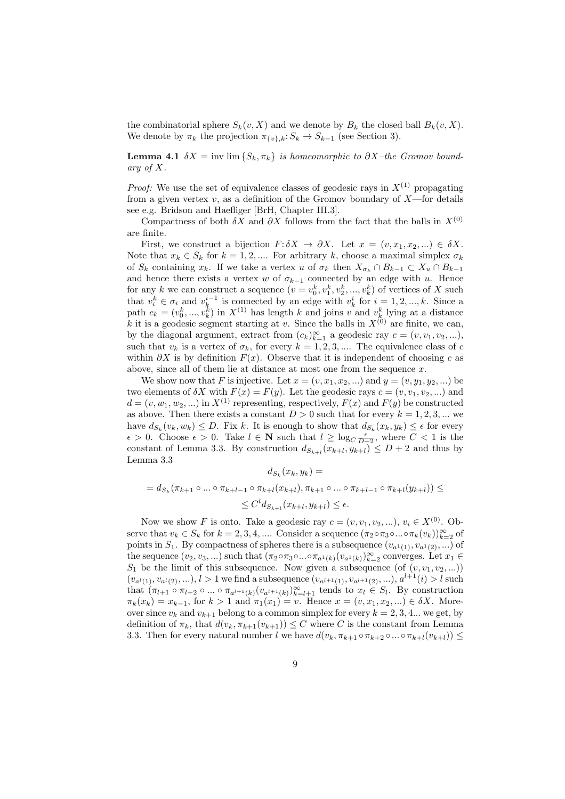the combinatorial sphere  $S_k(v, X)$  and we denote by  $B_k$  the closed ball  $B_k(v, X)$ . We denote by  $\pi_k$  the projection  $\pi_{\{v\},k}: S_k \to S_{k-1}$  (see Section 3).

**Lemma 4.1**  $\delta X = \text{inv }\lim\{S_k, \pi_k\}$  is homeomorphic to  $\partial X$ –the Gromov boundary of X.

*Proof:* We use the set of equivalence classes of geodesic rays in  $X^{(1)}$  propagating from a given vertex  $v$ , as a definition of the Gromov boundary of  $X$ —for details see e.g. Bridson and Haefliger [BrH, Chapter III.3].

Compactness of both  $\delta X$  and  $\partial X$  follows from the fact that the balls in  $X^{(0)}$ are finite.

First, we construct a bijection  $F: \delta X \to \partial X$ . Let  $x = (v, x_1, x_2, ...) \in \delta X$ . Note that  $x_k \in S_k$  for  $k = 1, 2, \dots$  For arbitrary k, choose a maximal simplex  $\sigma_k$ of  $S_k$  containing  $x_k$ . If we take a vertex u of  $\sigma_k$  then  $X_{\sigma_k} \cap B_{k-1} \subset X_u \cap B_{k-1}$ and hence there exists a vertex w of  $\sigma_{k-1}$  connected by an edge with u. Hence for any k we can construct a sequence  $(v = v_0^k, v_1^k, v_2^k, ..., v_k^k)$  of vertices of X such that  $v_i^k \in \sigma_i$  and  $v_k^{i-1}$  is connected by an edge with  $v_k^i$  for  $i = 1, 2, ..., k$ . Since a path  $c_k = (v_0^k, ..., v_k^k)$  in  $X^{(1)}$  has length k and joins v and  $v_k^k$  lying at a distance k it is a geodesic segment starting at v. Since the balls in  $X^{(0)}$  are finite, we can, by the diagonal argument, extract from  $(c_k)_{k=1}^{\infty}$  a geodesic ray  $c = (v, v_1, v_2, \ldots)$ , such that  $v_k$  is a vertex of  $\sigma_k$ , for every  $k = 1, 2, 3, \dots$  The equivalence class of c within  $\partial X$  is by definition  $F(x)$ . Observe that it is independent of choosing c as above, since all of them lie at distance at most one from the sequence x.

We show now that F is injective. Let  $x = (v, x_1, x_2, ...)$  and  $y = (v, y_1, y_2, ...)$  be two elements of  $\delta X$  with  $F(x) = F(y)$ . Let the geodesic rays  $c = (v, v_1, v_2, ...)$  and  $d = (v, w_1, w_2, ...)$  in  $X^{(1)}$  representing, respectively,  $F(x)$  and  $F(y)$  be constructed as above. Then there exists a constant  $D > 0$  such that for every  $k = 1, 2, 3, ...$  we have  $d_{S_k}(v_k, w_k) \leq D$ . Fix k. It is enough to show that  $d_{S_k}(x_k, y_k) \leq \epsilon$  for every  $\epsilon > 0$ . Choose  $\epsilon > 0$ . Take  $l \in \mathbb{N}$  such that  $l \geq \log_{C} \frac{\epsilon}{D+2}$ , where  $C < 1$  is the constant of Lemma 3.3. By construction  $d_{S_{k+l}}(x_{k+l}, y_{k+l}) \leq D+2$  and thus by Lemma 3.3

$$
d_{S_k}(x_k, y_k) =
$$
  
=  $d_{S_k}(\pi_{k+1} \circ ... \circ \pi_{k+l-1} \circ \pi_{k+l}(x_{k+l}), \pi_{k+1} \circ ... \circ \pi_{k+l-1} \circ \pi_{k+l}(y_{k+l})) \le$   
 $\le C^l d_{S_{k+l}}(x_{k+l}, y_{k+l}) \le \epsilon.$ 

Now we show F is onto. Take a geodesic ray  $c = (v, v_1, v_2, \ldots), v_i \in X^{(0)}$ . Observe that  $v_k \in S_k$  for  $k = 2, 3, 4, ...$  Consider a sequence  $(\pi_2 \circ \pi_3 \circ ... \circ \pi_k (v_k))_{k=2}^{\infty}$  of points in  $S_1$ . By compactness of spheres there is a subsequence  $(v_{a^1(1)}, v_{a^1(2)}, ...)$  of the sequence  $(v_2, v_3, ...)$  such that  $(\pi_2 \circ \pi_3 \circ ... \circ \pi_{a^1(k)}(v_{a^1(k)})_{k=2}^{\infty}$  converges. Let  $x_1 \in$  $S_1$  be the limit of this subsequence. Now given a subsequence (of  $(v, v_1, v_2, ...)$ )  $(v_{a^l(1)}, v_{a^l(2)}, \ldots), l > 1$  we find a subsequence  $(v_{a^{l+1}(1)}, v_{a^{l+1}(2)}, \ldots), a^{l+1}(i) > l$  such that  $(\pi_{l+1} \circ \pi_{l+2} \circ ... \circ \pi_{a^{l+1}(k)}(v_{a^{l+1}(k)})_{k=l+1}^{\infty}$  tends to  $x_l \in S_l$ . By construction  $\pi_k(x_k) = x_{k-1}$ , for  $k > 1$  and  $\pi_1(x_1) = v$ . Hence  $x = (v, x_1, x_2, ...) \in \delta X$ . Moreover since  $v_k$  and  $v_{k+1}$  belong to a common simplex for every  $k = 2, 3, 4...$  we get, by definition of  $\pi_k$ , that  $d(v_k, \pi_{k+1}(v_{k+1})) \leq C$  where C is the constant from Lemma 3.3. Then for every natural number l we have  $d(v_k, \pi_{k+1} \circ \pi_{k+2} \circ ... \circ \pi_{k+l}(v_{k+l})) \leq$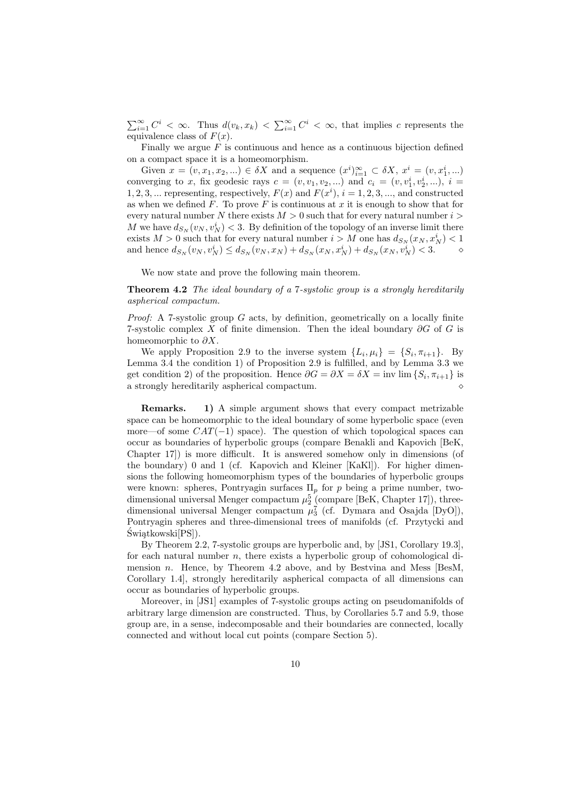$\sum_{i=1}^{\infty} C^i < \infty$ . Thus  $d(v_k, x_k) < \sum_{i=1}^{\infty} C^i < \infty$ , that implies c represents the equivalence class of  $F(x)$ .

Finally we argue  $F$  is continuous and hence as a continuous bijection defined on a compact space it is a homeomorphism.

Given  $x = (v, x_1, x_2, ...) \in \delta X$  and a sequence  $(x^i)_{i=1}^{\infty} \subset \delta X$ ,  $x^i = (v, x_1^i, ...)$ converging to x, fix geodesic rays  $c = (v, v_1, v_2, ...)$  and  $c_i = (v, v_1^i, v_2^i, ...)$ ,  $i =$ 1, 2, 3, ... representing, respectively,  $F(x)$  and  $F(x^i)$ ,  $i = 1, 2, 3, \dots$ , and constructed as when we defined  $F$ . To prove  $F$  is continuous at  $x$  it is enough to show that for every natural number N there exists  $M > 0$  such that for every natural number  $i >$ M we have  $d_{S_N}(v_N, v_N^i) < 3$ . By definition of the topology of an inverse limit there exists  $M > 0$  such that for every natural number  $i > M$  one has  $d_{S_N}(x_N, x_N^i) < 1$ and hence  $d_{S_N}(v_N, v_N^i) \leq d_{S_N}(v_N, x_N) + d_{S_N}(x_N, x_N^i) + d_{S_N}(x_N, v_N^i) < 3.$ 

We now state and prove the following main theorem.

Theorem 4.2 The ideal boundary of a 7-systolic group is a strongly hereditarily aspherical compactum.

*Proof:* A 7-systolic group  $G$  acts, by definition, geometrically on a locally finite 7-systolic complex X of finite dimension. Then the ideal boundary  $\partial G$  of G is homeomorphic to  $\partial X$ .

We apply Proposition 2.9 to the inverse system  $\{L_i, \mu_i\} = \{S_i, \pi_{i+1}\}.$  By Lemma 3.4 the condition 1) of Proposition 2.9 is fulfilled, and by Lemma 3.3 we get condition 2) of the proposition. Hence  $\partial G = \partial X = \delta X = \text{inv }\text{lim }\{S_i, \pi_{i+1}\}\$ is a strongly hereditarily aspherical compactum.  $\diamond$ 

Remarks. 1) A simple argument shows that every compact metrizable space can be homeomorphic to the ideal boundary of some hyperbolic space (even more—of some  $CAT(-1)$  space). The question of which topological spaces can occur as boundaries of hyperbolic groups (compare Benakli and Kapovich [BeK, Chapter 17]) is more difficult. It is answered somehow only in dimensions (of the boundary) 0 and 1 (cf. Kapovich and Kleiner [KaKl]). For higher dimensions the following homeomorphism types of the boundaries of hyperbolic groups were known: spheres, Pontryagin surfaces  $\Pi_p$  for p being a prime number, twodimensional universal Menger compactum  $\mu_2^5$  (compare [BeK, Chapter 17]), threedimensional universal Menger compactum  $\mu_3^7$  (cf. Dymara and Osajda [DyO]), Pontryagin spheres and three-dimensional trees of manifolds (cf. Przytycki and Świątkowski[PS]).

By Theorem 2.2, 7-systolic groups are hyperbolic and, by [JS1, Corollary 19.3], for each natural number  $n$ , there exists a hyperbolic group of cohomological dimension *n*. Hence, by Theorem  $4.2$  above, and by Bestvina and Mess [BesM, Corollary 1.4], strongly hereditarily aspherical compacta of all dimensions can occur as boundaries of hyperbolic groups.

Moreover, in [JS1] examples of 7-systolic groups acting on pseudomanifolds of arbitrary large dimension are constructed. Thus, by Corollaries 5.7 and 5.9, those group are, in a sense, indecomposable and their boundaries are connected, locally connected and without local cut points (compare Section 5).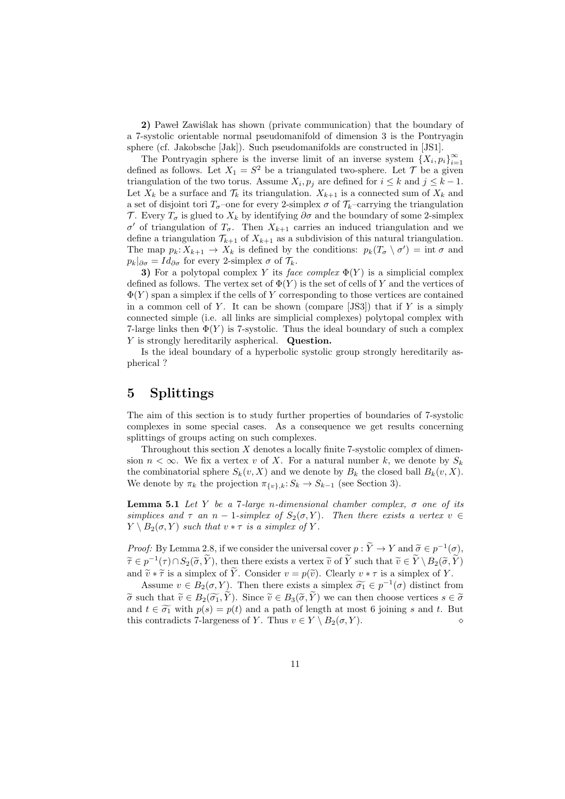2) Paweł Zawiślak has shown (private communication) that the boundary of a 7-systolic orientable normal pseudomanifold of dimension 3 is the Pontryagin sphere (cf. Jakobsche [Jak]). Such pseudomanifolds are constructed in [JS1].

The Pontryagin sphere is the inverse limit of an inverse system  $\{X_i, p_i\}_{i=1}^{\infty}$ defined as follows. Let  $X_1 = S^2$  be a triangulated two-sphere. Let  $\mathcal T$  be a given triangulation of the two torus. Assume  $X_i, p_j$  are defined for  $i \leq k$  and  $j \leq k - 1$ . Let  $X_k$  be a surface and  $\mathcal{T}_k$  its triangulation.  $X_{k+1}$  is a connected sum of  $X_k$  and a set of disjoint tori  $T_{\sigma}$ –one for every 2-simplex  $\sigma$  of  $\mathcal{T}_k$ –carrying the triangulation T. Every  $T_{\sigma}$  is glued to  $X_k$  by identifying  $\partial \sigma$  and the boundary of some 2-simplex σ' of triangulation of  $T_{\sigma}$ . Then  $X_{k+1}$  carries an induced triangulation and we define a triangulation  $\mathcal{T}_{k+1}$  of  $X_{k+1}$  as a subdivision of this natural triangulation. The map  $p_k: X_{k+1} \to X_k$  is defined by the conditions:  $p_k(T_\sigma \setminus \sigma') = \text{int } \sigma$  and  $p_k|_{\partial \sigma} = Id_{\partial \sigma}$  for every 2-simplex  $\sigma$  of  $\mathcal{T}_k$ .

3) For a polytopal complex Y its face complex  $\Phi(Y)$  is a simplicial complex defined as follows. The vertex set of  $\Phi(Y)$  is the set of cells of Y and the vertices of  $\Phi(Y)$  span a simplex if the cells of Y corresponding to those vertices are contained in a common cell of Y. It can be shown (compare  $[JS3]$ ) that if Y is a simply connected simple (i.e. all links are simplicial complexes) polytopal complex with 7-large links then  $\Phi(Y)$  is 7-systolic. Thus the ideal boundary of such a complex Y is strongly hereditarily aspherical. Question.

Is the ideal boundary of a hyperbolic systolic group strongly hereditarily aspherical ?

### 5 Splittings

The aim of this section is to study further properties of boundaries of 7-systolic complexes in some special cases. As a consequence we get results concerning splittings of groups acting on such complexes.

Throughout this section  $X$  denotes a locally finite 7-systolic complex of dimension  $n < \infty$ . We fix a vertex v of X. For a natural number k, we denote by  $S_k$ the combinatorial sphere  $S_k(v, X)$  and we denote by  $B_k$  the closed ball  $B_k(v, X)$ . We denote by  $\pi_k$  the projection  $\pi_{\{v\},k}: S_k \to S_{k-1}$  (see Section 3).

**Lemma 5.1** Let Y be a 7-large n-dimensional chamber complex,  $\sigma$  one of its simplices and  $\tau$  an n − 1-simplex of  $S_2(\sigma, Y)$ . Then there exists a vertex  $v \in$  $Y \setminus B_2(\sigma, Y)$  such that  $v * \tau$  is a simplex of Y.

*Proof:* By Lemma 2.8, if we consider the universal cover  $p : \widetilde{Y} \to Y$  and  $\widetilde{\sigma} \in p^{-1}(\sigma)$ ,  $\widetilde{\tau} \in p^{-1}(\tau) \cap S_2(\widetilde{\sigma}, \widetilde{Y})$ , then there exists a vertex  $\widetilde{v}$  of  $\widetilde{Y}$  such that  $\widetilde{v} \in \widetilde{Y} \setminus B_2(\widetilde{\sigma}, \widetilde{Y})$ and  $\widetilde{v} * \widetilde{\tau}$  is a simplex of  $\widetilde{Y}$ . Consider  $v = p(\widetilde{v})$ . Clearly  $v * \tau$  is a simplex of Y.

Assume  $v \in B_2(\sigma, Y)$ . Then there exists a simplex  $\widetilde{\sigma_1} \in p^{-1}(\sigma)$  distinct from  $\tilde{\sigma}$  such that  $\tilde{v} \in B_2(\tilde{\sigma}_1, \tilde{Y})$ . Since  $\tilde{v} \in B_3(\tilde{\sigma}, \tilde{Y})$  we can then choose vertices  $s \in \tilde{\sigma}$ and  $t \in \widetilde{\sigma_1}$  with  $p(s) = p(t)$  and a path of length at most 6 joining s and t. But this contradicts 7-largeness of Y. Thus  $v \in Y \setminus B_2(\sigma, Y)$ .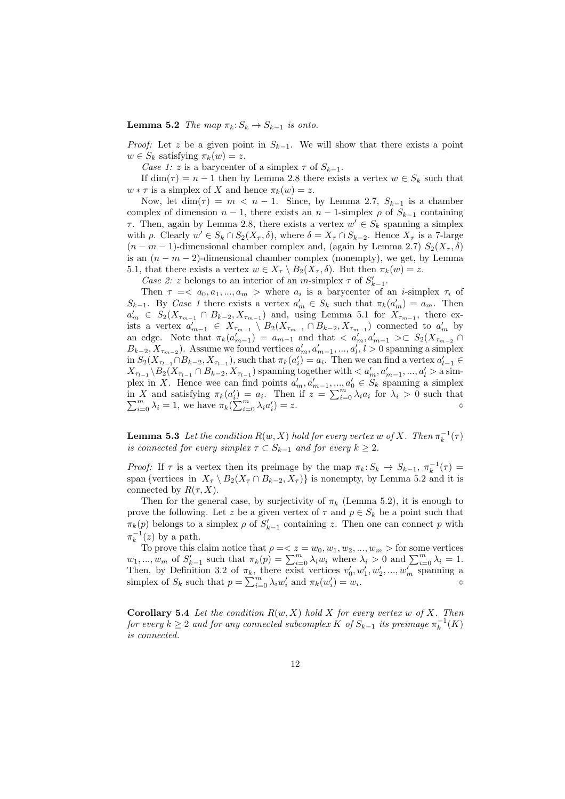**Lemma 5.2** The map  $\pi_k: S_k \to S_{k-1}$  is onto.

*Proof:* Let z be a given point in  $S_{k-1}$ . We will show that there exists a point  $w \in S_k$  satisfying  $\pi_k(w) = z$ .

Case 1: z is a barycenter of a simplex  $\tau$  of  $S_{k-1}$ .

If  $\dim(\tau) = n - 1$  then by Lemma 2.8 there exists a vertex  $w \in S_k$  such that  $w * \tau$  is a simplex of X and hence  $\pi_k(w) = z$ .

Now, let dim( $\tau$ ) =  $m$  <  $n - 1$ . Since, by Lemma 2.7,  $S_{k-1}$  is a chamber complex of dimension  $n-1$ , there exists an  $n-1$ -simplex  $\rho$  of  $S_{k-1}$  containing  $\tau$ . Then, again by Lemma 2.8, there exists a vertex  $w' \in S_k$  spanning a simplex with  $\rho$ . Clearly  $w' \in S_k \cap S_2(X_\tau, \delta)$ , where  $\delta = X_\tau \cap S_{k-2}$ . Hence  $X_\tau$  is a 7-large  $(n - m - 1)$ -dimensional chamber complex and, (again by Lemma 2.7)  $S_2(X_\tau, \delta)$ is an  $(n - m - 2)$ -dimensional chamber complex (nonempty), we get, by Lemma 5.1, that there exists a vertex  $w \in X_{\tau} \setminus B_2(X_{\tau}, \delta)$ . But then  $\pi_k(w) = z$ .

*Case 2: z* belongs to an interior of an *m*-simplex  $\tau$  of  $S'_{k-1}$ .

Then  $\tau = \langle a_0, a_1, ..., a_m \rangle$  where  $a_i$  is a barycenter of an *i*-simplex  $\tau_i$  of  $S_{k-1}$ . By Case 1 there exists a vertex  $a'_m \in S_k$  such that  $\pi_k(a'_m) = a_m$ . Then  $a'_m \in S_2(X_{\tau_{m-1}} \cap B_{k-2}, X_{\tau_{m-1}})$  and, using Lemma 5.1 for  $X_{\tau_{m-1}}$ , there exists a vertex  $a'_{m-1} \in X_{\tau_{m-1}} \setminus B_2(X_{\tau_{m-1}} \cap B_{k-2}, X_{\tau_{m-1}})$  connected to  $a'_m$  by an edge. Note that  $\pi_k(a'_{m-1}) = a_{m-1}$  and that  $\langle a'_m, a'_{m-1}\rangle \subset S_2(X_{\tau_{m-2}})$  $B_{k-2}, X_{\tau_{m-2}}$ ). Assume we found vertices  $a'_m, a'_{m-1}, ..., a'_l, l > 0$  spanning a simplex in  $S_2(X_{\tau_{l-1}} \cap B_{k-2}, X_{\tau_{l-1}})$ , such that  $\pi_k(a'_i) = a_i$ . Then we can find a vertex  $a'_{l-1} \in$  $X_{\tau_{l-1}} \setminus B_2(X_{\tau_{l-1}} \cap B_{k-2}, X_{\tau_{l-1}})$  spanning together with  $\lt a'_m, a'_{m-1}, ..., a'_l > a$  simplex in X. Hence wee can find points  $a'_m, a'_{m-1}, ..., a'_0 \in S_k$  spanning a simplex plex in  $\Lambda$ . Hence wee can imp points  $a_m, a_{m-1}, ...,$ <br>in  $X$  and satisfying  $\pi_k(a'_i) = a_i$ . Then if  $z = \sum_{i=1}^m a_i$ in X and satisfying  $\pi_k(a_i') = a_i$ . Then if  $z = \sum_{i=0}^m \lambda_i a_i$  for  $\lambda_i > 0$  such that  $\sum_{i=0}^m \lambda_i = 1$ , we have  $\pi_k(\sum_{i=0}^m \lambda_i a_i') = z$ .

**Lemma 5.3** Let the condition  $R(w, X)$  hold for every vertex w of X. Then  $\pi_k^{-1}(\tau)$ is connected for every simplex  $\tau \subset S_{k-1}$  and for every  $k \geq 2$ .

Proof: If  $\tau$  is a vertex then its preimage by the map  $\pi_k: S_k \to S_{k-1}, \pi_k^{-1}(\tau) =$ span {vertices in  $X_{\tau} \setminus B_2(X_{\tau} \cap B_{k-2}, X_{\tau})$ } is nonempty, by Lemma 5.2 and it is connected by  $R(\tau, X)$ .

Then for the general case, by surjectivity of  $\pi_k$  (Lemma 5.2), it is enough to prove the following. Let z be a given vertex of  $\tau$  and  $p \in S_k$  be a point such that  $\pi_k(p)$  belongs to a simplex  $\rho$  of  $S'_{k-1}$  containing z. Then one can connect p with  $\pi_k^{-1}(z)$  by a path.

To prove this claim notice that  $\rho = \langle z = w_0, w_1, w_2, ..., w_m \rangle$  for some vertices 10 prove this claim notice that  $p = \langle z = w_0, w_1, w_2, ..., w_m \rangle$  for some vertices  $w_1, ..., w_m$  of  $S'_{k-1}$  such that  $\pi_k(p) = \sum_{i=0}^m \lambda_i w_i$  where  $\lambda_i > 0$  and  $\sum_{i=0}^m \lambda_i = 1$ . Then, by Definition 3.2 of  $\pi_k$ , there exist vertices  $v'_0, w'_1, w'_2, ..., w'_m$  spanning a Then, by Definition 3.2 of  $\pi_k$ , there exist vertices  $v_0, w_1, w_2, ..., w_m$  spanning a simplex of  $S_k$  such that  $p = \sum_{i=0}^{m} \lambda_i w'_i$  and  $\pi_k(w'_i) = w_i$ .

**Corollary 5.4** Let the condition  $R(w, X)$  hold X for every vertex w of X. Then for every  $k \geq 2$  and for any connected subcomplex K of  $S_{k-1}$  its preimage  $\pi_k^{-1}(K)$ is connected.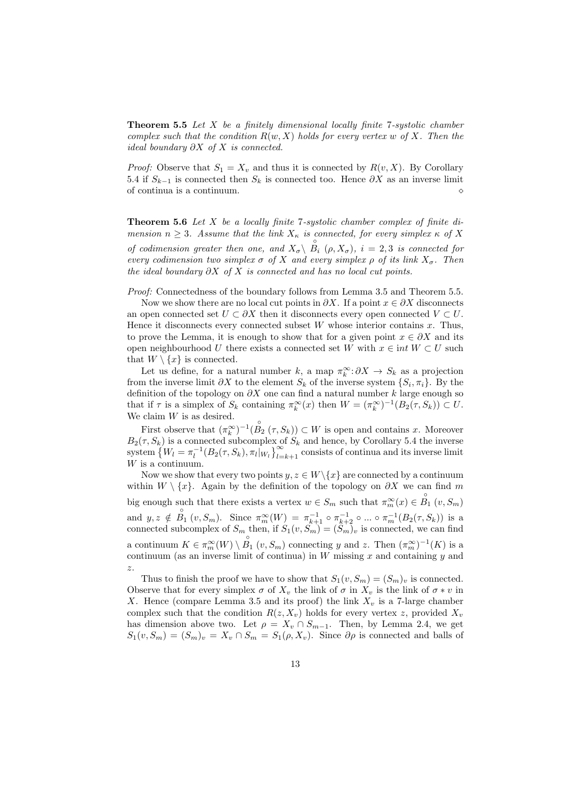**Theorem 5.5** Let  $X$  be a finitely dimensional locally finite 7-systolic chamber complex such that the condition  $R(w, X)$  holds for every vertex w of X. Then the ideal boundary  $\partial X$  of X is connected.

*Proof:* Observe that  $S_1 = X_v$  and thus it is connected by  $R(v, X)$ . By Corollary 5.4 if  $S_{k-1}$  is connected then  $S_k$  is connected too. Hence  $\partial X$  as an inverse limit of continua is a continuum.  $\Diamond$ 

**Theorem 5.6** Let X be a locally finite 7-systolic chamber complex of finite dimension  $n \geq 3$ . Assume that the link  $X_{\kappa}$  is connected, for every simplex  $\kappa$  of X of codimension greater then one, and  $X_{\sigma} \setminus \overset{\circ}{B}_i$  ( $\rho$ ,  $X_{\sigma}$ ),  $i = 2, 3$  is connected for every codimension two simplex  $\sigma$  of X and every simplex  $\rho$  of its link  $X_{\sigma}$ . Then the ideal boundary  $\partial X$  of X is connected and has no local cut points.

Proof: Connectedness of the boundary follows from Lemma 3.5 and Theorem 5.5.

Now we show there are no local cut points in  $\partial X$ . If a point  $x \in \partial X$  disconnects an open connected set  $U \subset \partial X$  then it disconnects every open connected  $V \subset U$ . Hence it disconnects every connected subset  $W$  whose interior contains  $x$ . Thus, to prove the Lemma, it is enough to show that for a given point  $x \in \partial X$  and its open neighbourhood U there exists a connected set W with  $x \in int W \subset U$  such that  $W \setminus \{x\}$  is connected.

Let us define, for a natural number k, a map  $\pi_k^{\infty}$ :  $\partial X \to S_k$  as a projection from the inverse limit  $\partial X$  to the element  $S_k$  of the inverse system  $\{S_i, \pi_i\}$ . By the definition of the topology on  $\partial X$  one can find a natural number k large enough so that if  $\tau$  is a simplex of  $S_k$  containing  $\pi_k^{\infty}(x)$  then  $W = (\pi_k^{\infty})^{-1}(B_2(\tau, S_k)) \subset U$ . We claim  $W$  is as desired.

First observe that  $(\pi_k^{\infty})^{-1}(\overset{\circ}{B_2}(\tau, S_k)) \subset W$  is open and contains x. Moreover  $B_2(\tau, S_k)$  is a connected subcomplex of  $S_k$  and hence, by Corollary 5.4 the inverse system  $\{W_l = \pi_l^{-1}(B_2(\tau, S_k), \pi_l|_{W_l}\}_{l=k+1}^{\infty}$  consists of continua and its inverse limit ª<sup>∞</sup>  $\sum_{l=k+1}^{\infty}$  consists of continua and its inverse limit W is a continuum.

Now we show that every two points  $y, z \in W \setminus \{x\}$  are connected by a continuum within  $W \setminus \{x\}$ . Again by the definition of the topology on  $\partial X$  we can find m big enough such that there exists a vertex  $w \in S_m$  such that  $\pi_m^{\infty}(x) \in \overset{\circ}{B_1}(v, S_m)$ and  $y, z \notin \stackrel{\circ}{B_1}(v, S_m)$ . Since  $\pi_m^{\infty}(W) = \pi_{k+1}^{-1} \circ \pi_{k+2}^{-1} \circ ... \circ \pi_m^{-1}(B_2(\tau, S_k))$  is a connected subcomplex of  $S_m$  then, if  $S_1(v, S_m) = (S_m)_v$  is connected, we can find a continuum  $K \in \pi_m^{\infty}(W) \setminus B_1$   $(v, S_m)$  connecting y and z. Then  $(\pi_m^{\infty})^{-1}(K)$  is a continuum (as an inverse limit of continua) in  $W$  missing  $x$  and containing  $y$  and z.

Thus to finish the proof we have to show that  $S_1(v, S_m) = (S_m)_v$  is connected. Observe that for every simplex  $\sigma$  of  $X_v$  the link of  $\sigma$  in  $X_v$  is the link of  $\sigma * v$  in X. Hence (compare Lemma 3.5 and its proof) the link  $X_v$  is a 7-large chamber complex such that the condition  $R(z, X_v)$  holds for every vertex z, provided  $X_v$ has dimension above two. Let  $\rho = X_v \cap S_{m-1}$ . Then, by Lemma 2.4, we get  $S_1(v, S_m) = (S_m)_v = X_v \cap S_m = S_1(\rho, X_v)$ . Since  $\partial \rho$  is connected and balls of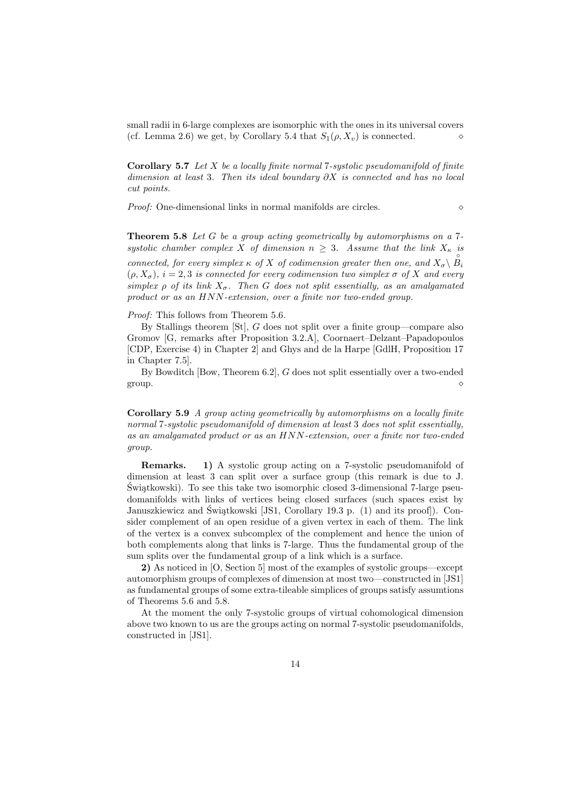small radii in 6-large complexes are isomorphic with the ones in its universal covers (cf. Lemma 2.6) we get, by Corollary 5.4 that  $S_1(\rho, X_v)$  is connected.

**Corollary 5.7** Let  $X$  be a locally finite normal 7-systolic pseudomanifold of finite dimension at least 3. Then its ideal boundary  $\partial X$  is connected and has no local cut points.

*Proof:* One-dimensional links in normal manifolds are circles.  $\diamond$ 

**Theorem 5.8** Let G be a group acting geometrically by automorphisms on a 7systolic chamber complex X of dimension  $n \geq 3$ . Assume that the link  $X_{\kappa}$  is connected, for every simplex  $\kappa$  of X of codimension greater then one, and  $X_{\sigma} \setminus B_i$  $(\rho, X_{\sigma})$ ,  $i = 2, 3$  is connected for every codimension two simplex  $\sigma$  of X and every simplex  $\rho$  of its link  $X_{\sigma}$ . Then G does not split essentially, as an amalgamated product or as an HNN-extension, over a finite nor two-ended group.

Proof: This follows from Theorem 5.6.

By Stallings theorem [St], G does not split over a finite group—compare also Gromov [G, remarks after Proposition 3.2.A], Coornaert–Delzant–Papadopoulos [CDP, Exercise 4) in Chapter 2] and Ghys and de la Harpe [GdlH, Proposition 17 in Chapter 7.5].

By Bowditch [Bow, Theorem 6.2], G does not split essentially over a two-ended group.  $\Diamond$ 

Corollary 5.9 A group acting geometrically by automorphisms on a locally finite normal 7-systolic pseudomanifold of dimension at least 3 does not split essentially, as an amalgamated product or as an HNN-extension, over a finite nor two-ended group.

Remarks. 1) A systolic group acting on a 7-systolic pseudomanifold of dimension at least 3 can split over a surface group (this remark is due to J. Świątkowski). To see this take two isomorphic closed 3-dimensional 7-large pseudomanifolds with links of vertices being closed surfaces (such spaces exist by Januszkiewicz and Swiątkowski [JS1, Corollary 19.3 p.  $(1)$  and its proof]). Consider complement of an open residue of a given vertex in each of them. The link of the vertex is a convex subcomplex of the complement and hence the union of both complements along that links is 7-large. Thus the fundamental group of the sum splits over the fundamental group of a link which is a surface.

2) As noticed in [O, Section 5] most of the examples of systolic groups—except automorphism groups of complexes of dimension at most two—constructed in [JS1] as fundamental groups of some extra-tileable simplices of groups satisfy assumtions of Theorems 5.6 and 5.8.

At the moment the only 7-systolic groups of virtual cohomological dimension above two known to us are the groups acting on normal 7-systolic pseudomanifolds, constructed in [JS1].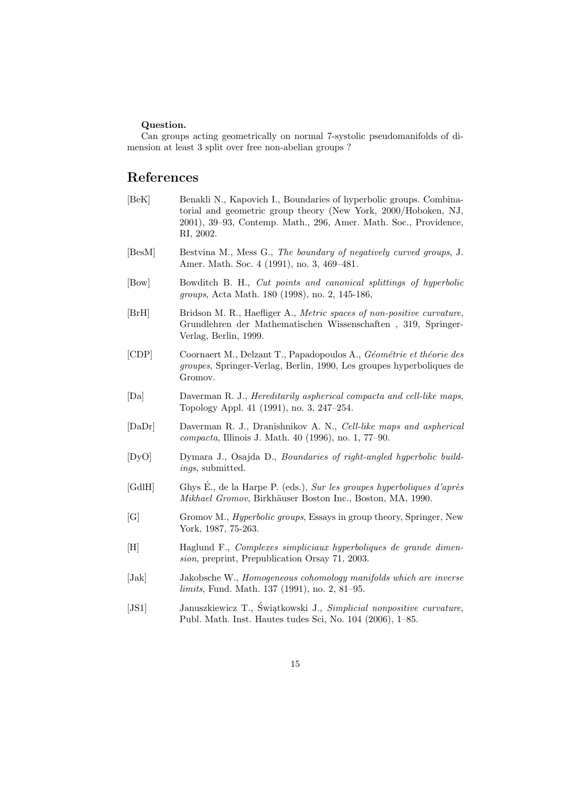#### Question.

Can groups acting geometrically on normal 7-systolic pseudomanifolds of dimension at least 3 split over free non-abelian groups ?

### References

- [BeK] Benakli N., Kapovich I., Boundaries of hyperbolic groups. Combinatorial and geometric group theory (New York, 2000/Hoboken, NJ, 2001), 39–93, Contemp. Math., 296, Amer. Math. Soc., Providence, RI, 2002.
- [BesM] Bestvina M., Mess G., The boundary of negatively curved groups, J. Amer. Math. Soc. 4 (1991), no. 3, 469–481.
- [Bow] Bowditch B. H., Cut points and canonical splittings of hyperbolic groups, Acta Math. 180 (1998), no. 2, 145-186,
- [BrH] Bridson M. R., Haefliger A., Metric spaces of non-positive curvature, Grundlehren der Mathematischen Wissenschaften , 319, Springer-Verlag, Berlin, 1999.
- [CDP] Coornaert M., Delzant T., Papadopoulos A., Géométrie et théorie des groupes, Springer-Verlag, Berlin, 1990, Les groupes hyperboliques de Gromov.
- [Da] Daverman R. J., Hereditarily aspherical compacta and cell-like maps, Topology Appl. 41 (1991), no. 3, 247–254.
- [DaDr] Daverman R. J., Dranishnikov A. N., Cell-like maps and aspherical compacta, Illinois J. Math. 40 (1996), no. 1, 77–90.
- [DyO] Dymara J., Osajda D., Boundaries of right-angled hyperbolic buildings, submitted.
- [GdlH] Ghys É., de la Harpe P. (eds.), Sur les groupes hyperboliques d'après Mikhael Gromov, Birkhäuser Boston Inc., Boston, MA, 1990.
- [G] Gromov M., *Hyperbolic groups*, Essays in group theory, Springer, New York, 1987, 75-263.
- [H] Haglund F., Complexes simpliciaux hyperboliques de grande dimension, preprint, Prepublication Orsay 71, 2003.
- [Jak] Jakobsche W., Homogeneous cohomology manifolds which are inverse limits, Fund. Math. 137 (1991), no. 2, 81–95.
- [JS1] Januszkiewicz T., Świątkowski J., Simplicial nonpositive curvature, Publ. Math. Inst. Hautes tudes Sci, No. 104 (2006), 1–85.